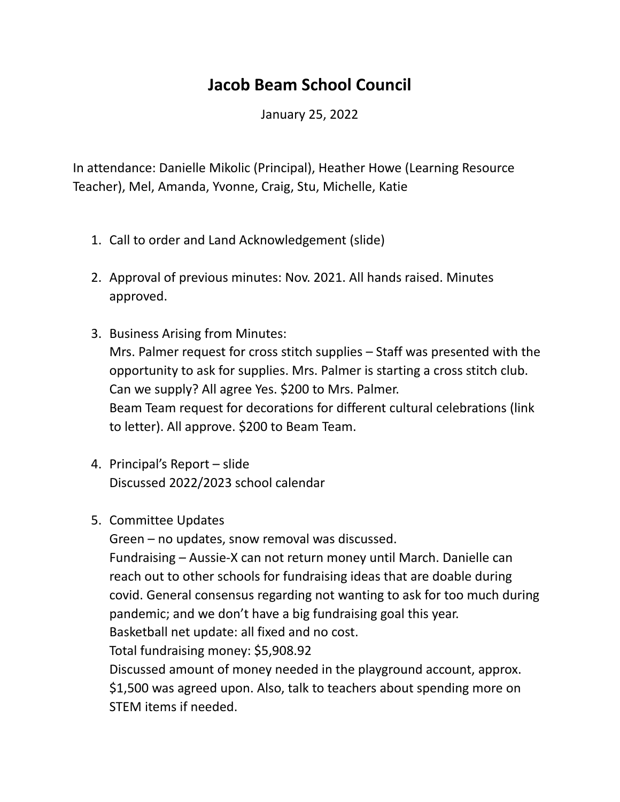## **Jacob Beam School Council**

January 25, 2022

In attendance: Danielle Mikolic (Principal), Heather Howe (Learning Resource Teacher), Mel, Amanda, Yvonne, Craig, Stu, Michelle, Katie

- 1. Call to order and Land Acknowledgement (slide)
- 2. Approval of previous minutes: Nov. 2021. All hands raised. Minutes approved.
- 3. Business Arising from Minutes: Mrs. Palmer request for cross stitch supplies – Staff was presented with the opportunity to ask for supplies. Mrs. Palmer is starting a cross stitch club. Can we supply? All agree Yes. \$200 to Mrs. Palmer. Beam Team request for decorations for different cultural celebrations (link to letter). All approve. \$200 to Beam Team.
- 4. Principal's Report slide Discussed 2022/2023 school calendar
- 5. Committee Updates

Green – no updates, snow removal was discussed.

Fundraising – Aussie-X can not return money until March. Danielle can reach out to other schools for fundraising ideas that are doable during covid. General consensus regarding not wanting to ask for too much during pandemic; and we don't have a big fundraising goal this year. Basketball net update: all fixed and no cost.

Total fundraising money: \$5,908.92

Discussed amount of money needed in the playground account, approx. \$1,500 was agreed upon. Also, talk to teachers about spending more on STEM items if needed.